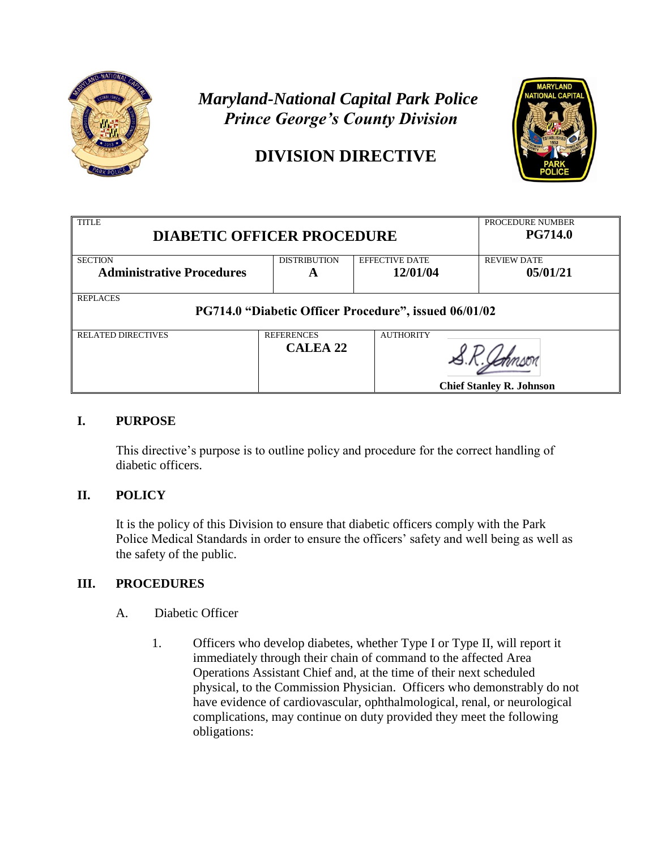

# *Maryland-National Capital Park Police Prince George's County Division*

## **DIVISION DIRECTIVE**



| <b>TITLE</b><br><b>DIABETIC OFFICER PROCEDURE</b>                        |                               |                       | PROCEDURE NUMBER<br><b>PG714.0</b> |  |
|--------------------------------------------------------------------------|-------------------------------|-----------------------|------------------------------------|--|
| <b>SECTION</b>                                                           | <b>DISTRIBUTION</b>           | <b>EFFECTIVE DATE</b> | <b>REVIEW DATE</b>                 |  |
| <b>Administrative Procedures</b>                                         | A                             | 12/01/04              | 05/01/21                           |  |
| <b>REPLACES</b><br>PG714.0 "Diabetic Officer Procedure", issued 06/01/02 |                               |                       |                                    |  |
| <b>RELATED DIRECTIVES</b>                                                | <b>REFERENCES</b><br>CALEA 22 | <b>AUTHORITY</b>      | <b>Chief Stanley R. Johnson</b>    |  |

### **I. PURPOSE**

This directive's purpose is to outline policy and procedure for the correct handling of diabetic officers.

## **II. POLICY**

It is the policy of this Division to ensure that diabetic officers comply with the Park Police Medical Standards in order to ensure the officers' safety and well being as well as the safety of the public.

## **III. PROCEDURES**

- A. Diabetic Officer
	- 1. Officers who develop diabetes, whether Type I or Type II, will report it immediately through their chain of command to the affected Area Operations Assistant Chief and, at the time of their next scheduled physical, to the Commission Physician. Officers who demonstrably do not have evidence of cardiovascular, ophthalmological, renal, or neurological complications, may continue on duty provided they meet the following obligations: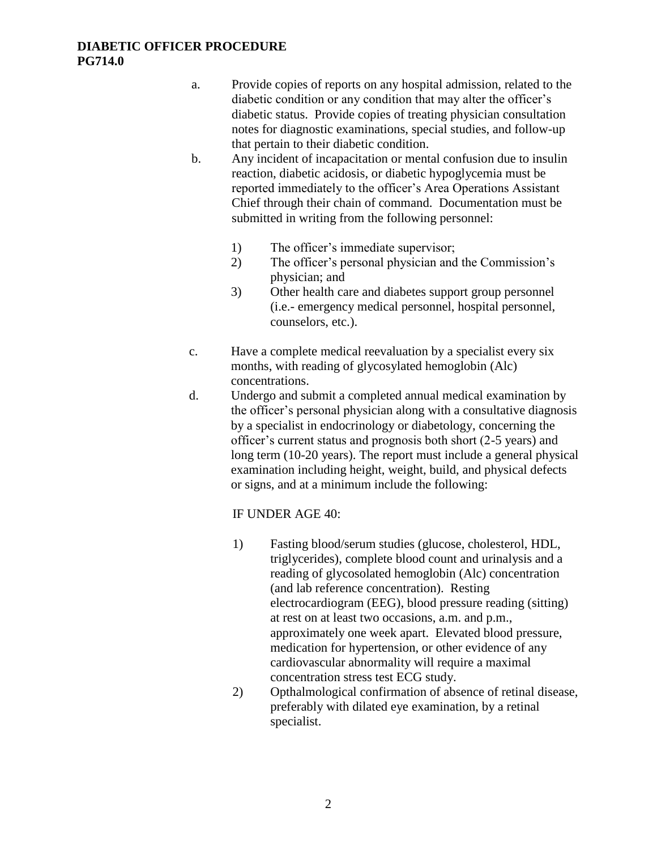#### **DIABETIC OFFICER PROCEDURE PG714.0**

- a. Provide copies of reports on any hospital admission, related to the diabetic condition or any condition that may alter the officer's diabetic status. Provide copies of treating physician consultation notes for diagnostic examinations, special studies, and follow-up that pertain to their diabetic condition.
- b. Any incident of incapacitation or mental confusion due to insulin reaction, diabetic acidosis, or diabetic hypoglycemia must be reported immediately to the officer's Area Operations Assistant Chief through their chain of command. Documentation must be submitted in writing from the following personnel:
	- 1) The officer's immediate supervisor;
	- 2) The officer's personal physician and the Commission's physician; and
	- 3) Other health care and diabetes support group personnel (i.e.- emergency medical personnel, hospital personnel, counselors, etc.).
- c. Have a complete medical reevaluation by a specialist every six months, with reading of glycosylated hemoglobin (Alc) concentrations.
- d. Undergo and submit a completed annual medical examination by the officer's personal physician along with a consultative diagnosis by a specialist in endocrinology or diabetology, concerning the officer's current status and prognosis both short (2-5 years) and long term (10-20 years). The report must include a general physical examination including height, weight, build, and physical defects or signs, and at a minimum include the following:

#### IF UNDER AGE 40:

- 1) Fasting blood/serum studies (glucose, cholesterol, HDL, triglycerides), complete blood count and urinalysis and a reading of glycosolated hemoglobin (Alc) concentration (and lab reference concentration). Resting electrocardiogram (EEG), blood pressure reading (sitting) at rest on at least two occasions, a.m. and p.m., approximately one week apart. Elevated blood pressure, medication for hypertension, or other evidence of any cardiovascular abnormality will require a maximal concentration stress test ECG study.
- 2) Opthalmological confirmation of absence of retinal disease, preferably with dilated eye examination, by a retinal specialist.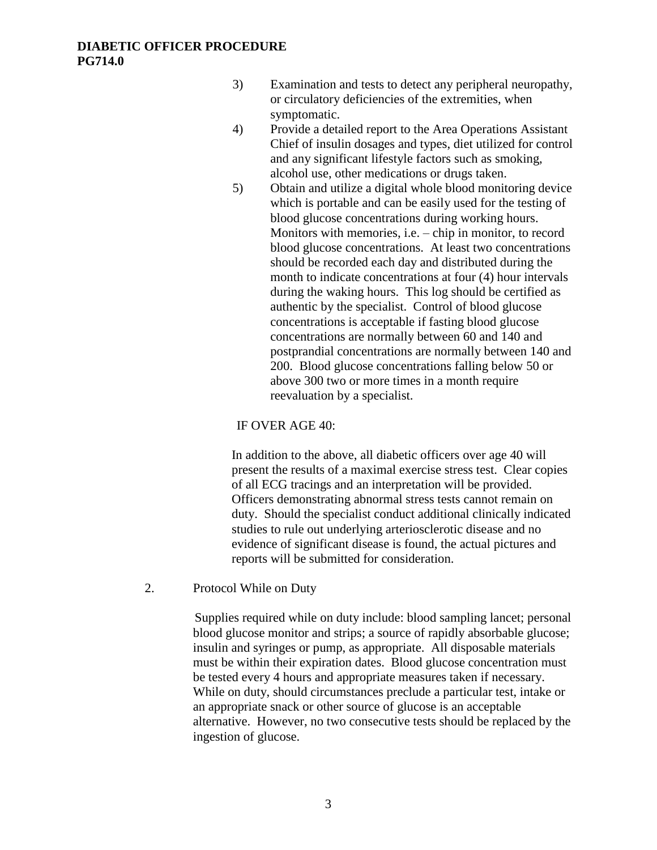- 3) Examination and tests to detect any peripheral neuropathy, or circulatory deficiencies of the extremities, when symptomatic.
- 4) Provide a detailed report to the Area Operations Assistant Chief of insulin dosages and types, diet utilized for control and any significant lifestyle factors such as smoking, alcohol use, other medications or drugs taken.
- 5) Obtain and utilize a digital whole blood monitoring device which is portable and can be easily used for the testing of blood glucose concentrations during working hours. Monitors with memories, i.e. – chip in monitor, to record blood glucose concentrations. At least two concentrations should be recorded each day and distributed during the month to indicate concentrations at four (4) hour intervals during the waking hours. This log should be certified as authentic by the specialist. Control of blood glucose concentrations is acceptable if fasting blood glucose concentrations are normally between 60 and 140 and postprandial concentrations are normally between 140 and 200. Blood glucose concentrations falling below 50 or above 300 two or more times in a month require reevaluation by a specialist.

#### IF OVER AGE 40:

In addition to the above, all diabetic officers over age 40 will present the results of a maximal exercise stress test. Clear copies of all ECG tracings and an interpretation will be provided. Officers demonstrating abnormal stress tests cannot remain on duty. Should the specialist conduct additional clinically indicated studies to rule out underlying arteriosclerotic disease and no evidence of significant disease is found, the actual pictures and reports will be submitted for consideration.

2. Protocol While on Duty

Supplies required while on duty include: blood sampling lancet; personal blood glucose monitor and strips; a source of rapidly absorbable glucose; insulin and syringes or pump, as appropriate. All disposable materials must be within their expiration dates. Blood glucose concentration must be tested every 4 hours and appropriate measures taken if necessary. While on duty, should circumstances preclude a particular test, intake or an appropriate snack or other source of glucose is an acceptable alternative. However, no two consecutive tests should be replaced by the ingestion of glucose.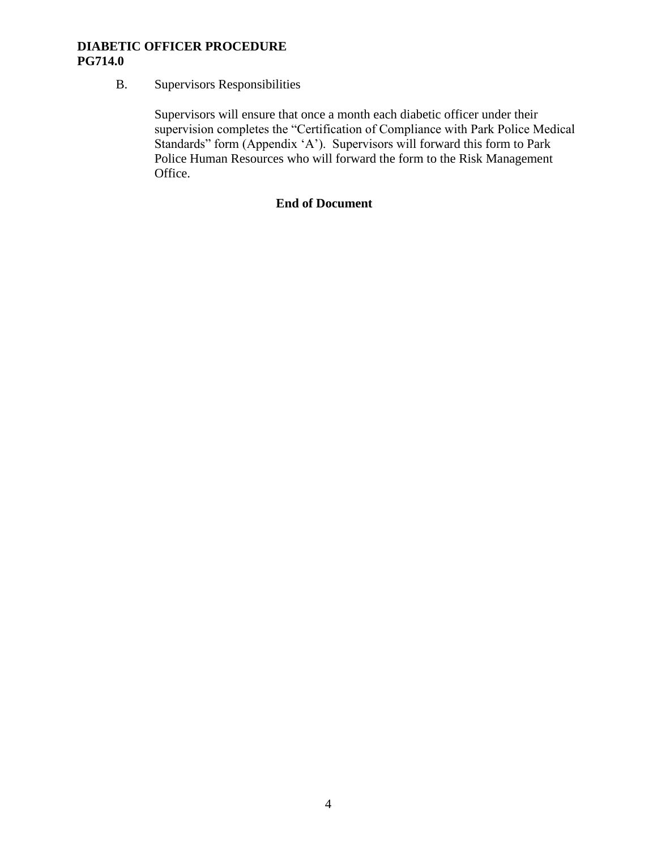#### **DIABETIC OFFICER PROCEDURE PG714.0**

### B. Supervisors Responsibilities

Supervisors will ensure that once a month each diabetic officer under their supervision completes the "Certification of Compliance with Park Police Medical Standards" form (Appendix 'A'). Supervisors will forward this form to Park Police Human Resources who will forward the form to the Risk Management Office.

#### **End of Document**